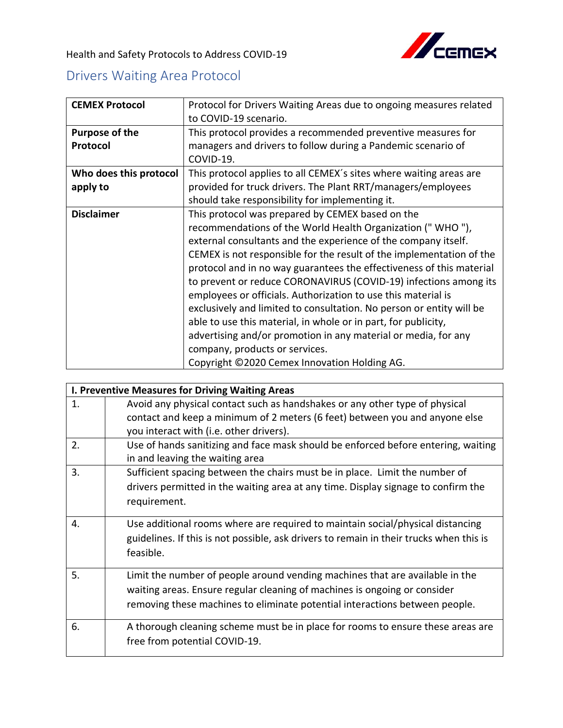

Health and Safety Protocols to Address COVID-19

## Drivers Waiting Area Protocol

| <b>CEMEX Protocol</b>  | Protocol for Drivers Waiting Areas due to ongoing measures related   |
|------------------------|----------------------------------------------------------------------|
|                        | to COVID-19 scenario.                                                |
| <b>Purpose of the</b>  | This protocol provides a recommended preventive measures for         |
| Protocol               | managers and drivers to follow during a Pandemic scenario of         |
|                        | COVID-19.                                                            |
| Who does this protocol | This protocol applies to all CEMEX's sites where waiting areas are   |
| apply to               | provided for truck drivers. The Plant RRT/managers/employees         |
|                        | should take responsibility for implementing it.                      |
| <b>Disclaimer</b>      | This protocol was prepared by CEMEX based on the                     |
|                        | recommendations of the World Health Organization ("WHO"),            |
|                        | external consultants and the experience of the company itself.       |
|                        | CEMEX is not responsible for the result of the implementation of the |
|                        | protocol and in no way guarantees the effectiveness of this material |
|                        | to prevent or reduce CORONAVIRUS (COVID-19) infections among its     |
|                        | employees or officials. Authorization to use this material is        |
|                        | exclusively and limited to consultation. No person or entity will be |
|                        | able to use this material, in whole or in part, for publicity,       |
|                        | advertising and/or promotion in any material or media, for any       |
|                        | company, products or services.                                       |
|                        | Copyright ©2020 Cemex Innovation Holding AG.                         |

| I. Preventive Measures for Driving Waiting Areas |                                                                                         |  |
|--------------------------------------------------|-----------------------------------------------------------------------------------------|--|
| 1.                                               | Avoid any physical contact such as handshakes or any other type of physical             |  |
|                                                  | contact and keep a minimum of 2 meters (6 feet) between you and anyone else             |  |
|                                                  | you interact with (i.e. other drivers).                                                 |  |
| 2.                                               | Use of hands sanitizing and face mask should be enforced before entering, waiting       |  |
|                                                  | in and leaving the waiting area                                                         |  |
| 3.                                               | Sufficient spacing between the chairs must be in place. Limit the number of             |  |
|                                                  | drivers permitted in the waiting area at any time. Display signage to confirm the       |  |
|                                                  | requirement.                                                                            |  |
|                                                  |                                                                                         |  |
| $\overline{4}$ .                                 | Use additional rooms where are required to maintain social/physical distancing          |  |
|                                                  | guidelines. If this is not possible, ask drivers to remain in their trucks when this is |  |
|                                                  | feasible.                                                                               |  |
|                                                  |                                                                                         |  |
| 5.                                               | Limit the number of people around vending machines that are available in the            |  |
|                                                  | waiting areas. Ensure regular cleaning of machines is ongoing or consider               |  |
|                                                  | removing these machines to eliminate potential interactions between people.             |  |
| 6.                                               | A thorough cleaning scheme must be in place for rooms to ensure these areas are         |  |
|                                                  | free from potential COVID-19.                                                           |  |
|                                                  |                                                                                         |  |